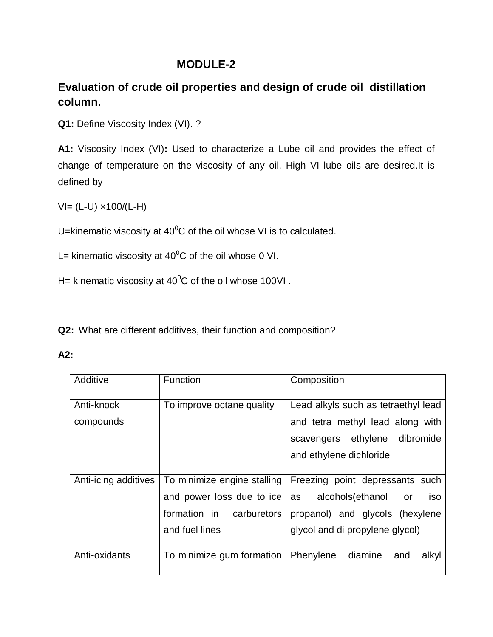## **MODULE-2**

## **Evaluation of crude oil properties and design of crude oil distillation column.**

**Q1:** Define Viscosity Index (VI). ?

**A1:** Viscosity Index (VI)**:** Used to characterize a Lube oil and provides the effect of change of temperature on the viscosity of any oil. High VI lube oils are desired.It is defined by

 $V = (L-U) \times 100/(L-H)$ 

U=kinematic viscosity at  $40^{\circ}$ C of the oil whose VI is to calculated.

L= kinematic viscosity at  $40^{\circ}$ C of the oil whose 0 VI.

H= kinematic viscosity at  $40^{\circ}$ C of the oil whose 100VI.

**Q2:** What are different additives, their function and composition?

**A2:**

| Additive             | <b>Function</b>             | Composition                          |
|----------------------|-----------------------------|--------------------------------------|
| Anti-knock           | To improve octane quality   | Lead alkyls such as tetraethyl lead  |
| compounds            |                             | and tetra methyl lead along with     |
|                      |                             | scavengers ethylene dibromide        |
|                      |                             | and ethylene dichloride              |
|                      |                             |                                      |
| Anti-icing additives | To minimize engine stalling | Freezing point depressants such      |
|                      | and power loss due to ice   | alcohols(ethanol<br>as<br>iso<br>or  |
|                      | formation in carburetors    | propanol) and glycols (hexylene      |
|                      | and fuel lines              | glycol and di propylene glycol)      |
|                      |                             |                                      |
| Anti-oxidants        | To minimize gum formation   | Phenylene<br>diamine<br>alkyl<br>and |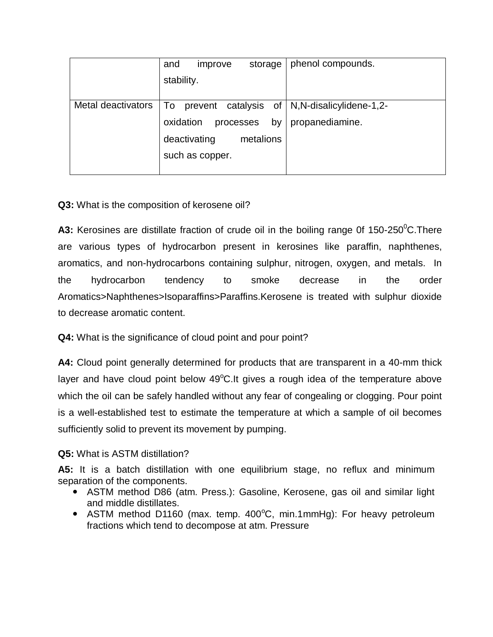|                    | and<br>storage<br>improve    | phenol compounds.                               |
|--------------------|------------------------------|-------------------------------------------------|
|                    | stability.                   |                                                 |
|                    |                              |                                                 |
| Metal deactivators | To                           | prevent catalysis of   N, N-disalicylidene-1,2- |
|                    | by<br>oxidation<br>processes | propanediamine.                                 |
|                    | deactivating<br>metalions    |                                                 |
|                    | such as copper.              |                                                 |
|                    |                              |                                                 |

## **Q3:** What is the composition of kerosene oil?

**A3:** Kerosines are distillate fraction of crude oil in the boiling range 0f 150-250<sup>°</sup>C. There are various types of hydrocarbon present in kerosines like paraffin, naphthenes, aromatics, and non-hydrocarbons containing sulphur, nitrogen, oxygen, and metals. In the hydrocarbon tendency to smoke decrease in the order Aromatics>Naphthenes>Isoparaffins>Paraffins.Kerosene is treated with sulphur dioxide to decrease aromatic content.

**Q4:** What is the significance of cloud point and pour point?

**A4:** Cloud point generally determined for products that are transparent in a 40-mm thick layer and have cloud point below  $49^{\circ}$ C.It gives a rough idea of the temperature above which the oil can be safely handled without any fear of congealing or clogging. Pour point is a well-established test to estimate the temperature at which a sample of oil becomes sufficiently solid to prevent its movement by pumping.

## **Q5:** What is ASTM distillation?

**A5:** It is a batch distillation with one equilibrium stage, no reflux and minimum separation of the components.

- ASTM method D86 (atm. Press.): Gasoline, Kerosene, gas oil and similar light and middle distillates.
- ASTM method D1160 (max. temp.  $400^{\circ}$ C, min.1mmHg): For heavy petroleum fractions which tend to decompose at atm. Pressure